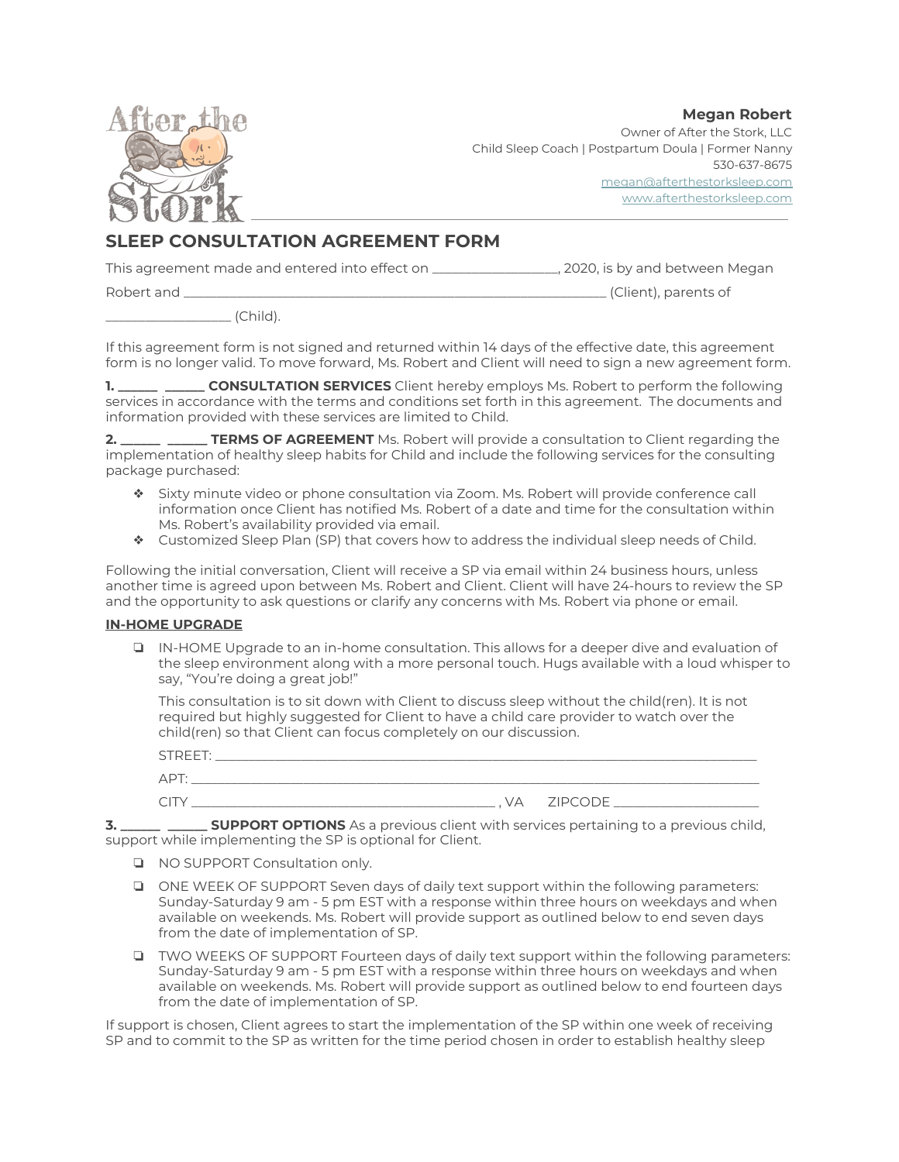**Megan Robert**



Owner of After the Stork, LLC Child Sleep Coach | Postpartum Doula | Former Nanny 530-637-8675 [megan@afterthestorksleep.com](mailto:megan@afterthestorksleep.com) [www.afterthestorksleep.com](http://www.afterthestorksleep.com/)

# **SLEEP CONSULTATION AGREEMENT FORM**

This agreement made and entered into effect on \_\_\_\_\_\_\_\_\_\_\_\_\_\_\_\_\_\_\_, 2020, is by and between Megan

Robert and \_\_\_\_\_\_\_\_\_\_\_\_\_\_\_\_\_\_\_\_\_\_\_\_\_\_\_\_\_\_\_\_\_\_\_\_\_\_\_\_\_\_\_\_\_\_\_\_\_\_\_\_\_\_\_\_\_\_\_\_\_\_\_\_ (Client), parents of

\_\_\_\_\_\_\_\_\_\_\_\_\_\_\_\_\_\_\_ (Child).

If this agreement form is not signed and returned within 14 days of the effective date, this agreement form is no longer valid. To move forward, Ms. Robert and Client will need to sign a new agreement form.

**1. \_\_\_\_\_\_ \_\_\_\_\_\_ CONSULTATION SERVICES** Client hereby employs Ms. Robert to perform the following services in accordance with the terms and conditions set forth in this agreement. The documents and information provided with these services are limited to Child.

**2. \_\_\_\_\_\_ \_\_\_\_\_\_ TERMS OF AGREEMENT** Ms. Robert will provide a consultation to Client regarding the implementation of healthy sleep habits for Child and include the following services for the consulting package purchased:

- ❖ Sixty minute video or phone consultation via Zoom. Ms. Robert will provide conference call information once Client has notified Ms. Robert of a date and time for the consultation within Ms. Robert's availability provided via email.
- ❖ Customized Sleep Plan (SP) that covers how to address the individual sleep needs of Child.

Following the initial conversation, Client will receive a SP via email within 24 business hours, unless another time is agreed upon between Ms. Robert and Client. Client will have 24-hours to review the SP and the opportunity to ask questions or clarify any concerns with Ms. Robert via phone or email.

## **IN-HOME UPGRADE**

❏ IN-HOME Upgrade to an in-home consultation. This allows for a deeper dive and evaluation of the sleep environment along with a more personal touch. Hugs available with a loud whisper to say, "You're doing a great job!"

This consultation is to sit down with Client to discuss sleep without the child(ren). It is not required but highly suggested for Client to have a child care provider to watch over the child(ren) so that Client can focus completely on our discussion.

| STREET: |                 |
|---------|-----------------|
| APT     |                 |
|         | , VA ZIPCODE __ |

**3. \_\_\_\_\_\_ \_\_\_\_\_\_ SUPPORT OPTIONS** As a previous client with services pertaining to a previous child, support while implementing the SP is optional for Client.

- ❏ NO SUPPORT Consultation only.
- ❏ ONE WEEK OF SUPPORT Seven days of daily text support within the following parameters: Sunday-Saturday 9 am - 5 pm EST with a response within three hours on weekdays and when available on weekends. Ms. Robert will provide support as outlined below to end seven days from the date of implementation of SP.
- ❏ TWO WEEKS OF SUPPORT Fourteen days of daily text support within the following parameters: Sunday-Saturday 9 am - 5 pm EST with a response within three hours on weekdays and when available on weekends. Ms. Robert will provide support as outlined below to end fourteen days from the date of implementation of SP.

If support is chosen, Client agrees to start the implementation of the SP within one week of receiving SP and to commit to the SP as written for the time period chosen in order to establish healthy sleep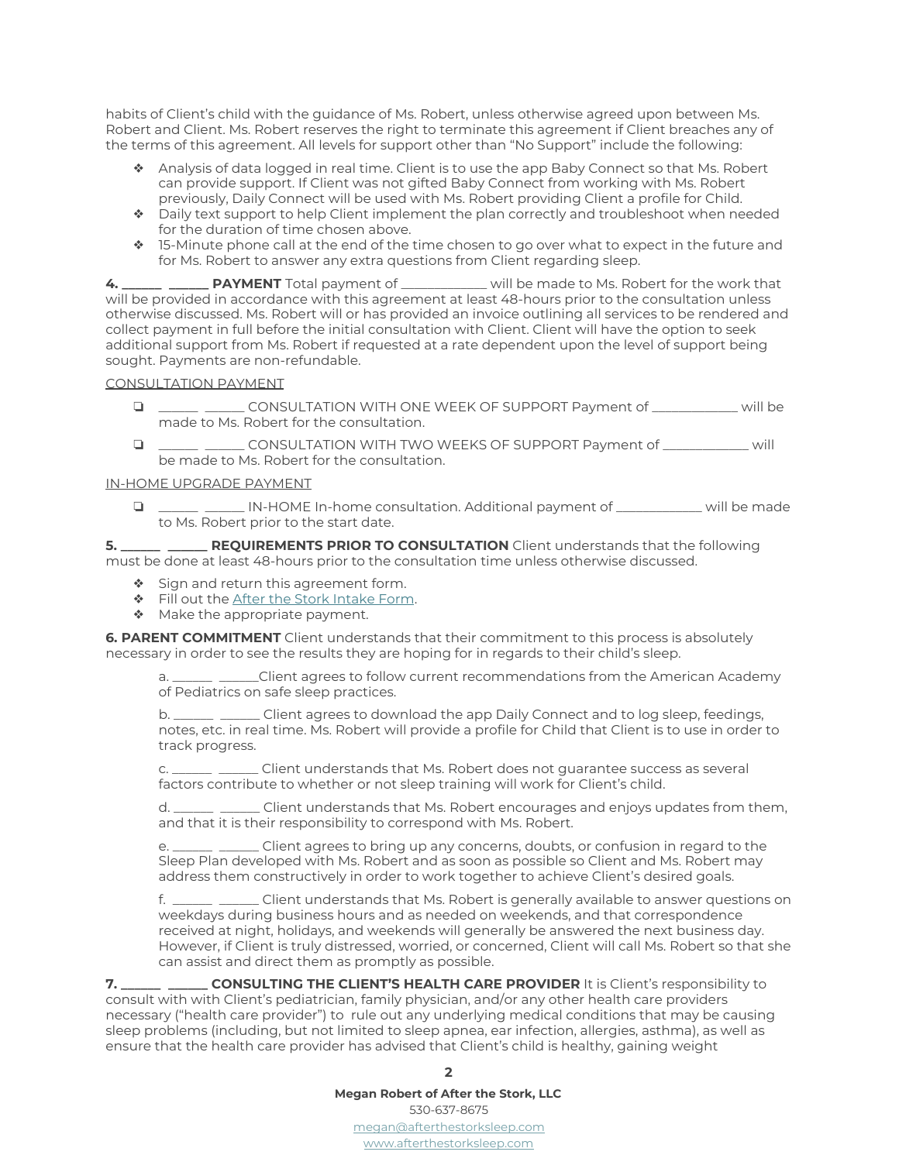habits of Client's child with the guidance of Ms. Robert, unless otherwise agreed upon between Ms. Robert and Client. Ms. Robert reserves the right to terminate this agreement if Client breaches any of the terms of this agreement. All levels for support other than "No Support" include the following:

- ❖ Analysis of data logged in real time. Client is to use the app Baby Connect so that Ms. Robert can provide support. If Client was not gifted Baby Connect from working with Ms. Robert previously, Daily Connect will be used with Ms. Robert providing Client a profile for Child.
- ❖ Daily text support to help Client implement the plan correctly and troubleshoot when needed for the duration of time chosen above.
- ❖ 15-Minute phone call at the end of the time chosen to go over what to expect in the future and for Ms. Robert to answer any extra questions from Client regarding sleep.

**4. \_\_\_\_\_\_ \_\_\_\_\_\_ PAYMENT** Total payment of \_\_\_\_\_\_\_\_\_\_\_\_\_ will be made to Ms. Robert for the work that will be provided in accordance with this agreement at least 48-hours prior to the consultation unless otherwise discussed. Ms. Robert will or has provided an invoice outlining all services to be rendered and collect payment in full before the initial consultation with Client. Client will have the option to seek additional support from Ms. Robert if requested at a rate dependent upon the level of support being sought. Payments are non-refundable.

### CONSULTATION PAYMENT

- ❏ \_\_\_\_\_\_ \_\_\_\_\_\_ CONSULTATION WITH ONE WEEK OF SUPPORT Payment of \_\_\_\_\_\_\_\_\_\_\_\_\_ will be made to Ms. Robert for the consultation.
- ❏ \_\_\_\_\_\_ \_\_\_\_\_\_ CONSULTATION WITH TWO WEEKS OF SUPPORT Payment of \_\_\_\_\_\_\_\_\_\_\_\_\_ will be made to Ms. Robert for the consultation.

### IN-HOME UPGRADE PAYMENT

❏ \_\_\_\_\_\_ \_\_\_\_\_\_ IN-HOME In-home consultation. Additional payment of \_\_\_\_\_\_\_\_\_\_\_\_\_ will be made to Ms. Robert prior to the start date.

**5. \_\_\_\_\_\_ \_\_\_\_\_\_ REQUIREMENTS PRIOR TO CONSULTATION** Client understands that the following must be done at least 48-hours prior to the consultation time unless otherwise discussed.

- ❖ Sign and return this agreement form.
- ❖ Fill out the After the Stork [Intake](https://docs.google.com/forms/d/e/1FAIpQLScr0g3oUS59m35w6szCRaz68j9fybnztAkWbmkKSmqrzoucOA/viewform?usp=sf_link) Form.
- ◆ Make the appropriate payment.

**6. PARENT COMMITMENT** Client understands that their commitment to this process is absolutely necessary in order to see the results they are hoping for in regards to their child's sleep.

a. \_\_\_\_\_\_ \_\_\_\_\_\_Client agrees to follow current recommendations from the American Academy of Pediatrics on safe sleep practices.

b. \_\_\_\_\_\_ \_\_\_\_\_\_ Client agrees to download the app Daily Connect and to log sleep, feedings, notes, etc. in real time. Ms. Robert will provide a profile for Child that Client is to use in order to track progress.

c. \_\_\_\_\_\_ \_\_\_\_\_\_ Client understands that Ms. Robert does not guarantee success as several factors contribute to whether or not sleep training will work for Client's child.

d. \_\_\_\_\_\_ \_\_\_\_\_\_ Client understands that Ms. Robert encourages and enjoys updates from them, and that it is their responsibility to correspond with Ms. Robert.

e. \_\_\_\_\_\_ \_\_\_\_\_\_ Client agrees to bring up any concerns, doubts, or confusion in regard to the Sleep Plan developed with Ms. Robert and as soon as possible so Client and Ms. Robert may address them constructively in order to work together to achieve Client's desired goals.

f. \_\_\_\_\_\_ \_\_\_\_\_\_ Client understands that Ms. Robert is generally available to answer questions on weekdays during business hours and as needed on weekends, and that correspondence received at night, holidays, and weekends will generally be answered the next business day. However, if Client is truly distressed, worried, or concerned, Client will call Ms. Robert so that she can assist and direct them as promptly as possible.

**7. \_\_\_\_\_\_ \_\_\_\_\_\_ CONSULTING THE CLIENT'S HEALTH CARE PROVIDER** It is Client's responsibility to consult with with Client's pediatrician, family physician, and/or any other health care providers necessary ("health care provider") to rule out any underlying medical conditions that may be causing sleep problems (including, but not limited to sleep apnea, ear infection, allergies, asthma), as well as ensure that the health care provider has advised that Client's child is healthy, gaining weight

#### **2**

**Megan Robert of After the Stork, LLC**

530-637-8675 [megan@afterthestorksleep.com](mailto:megan@afterthestorksleep.com) [www.afterthestorksleep.com](http://www.afterthestorksleep.com/)